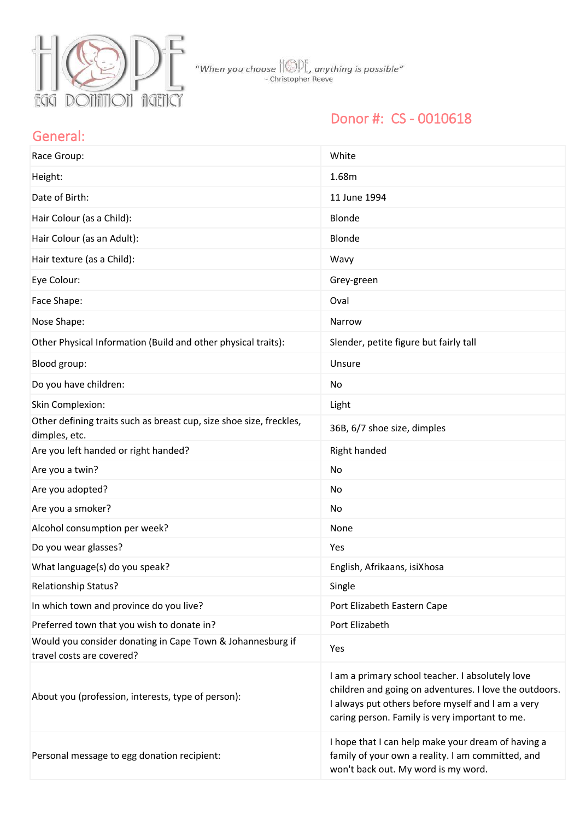

### Donor #: CS - 0010618

#### General:

| Race Group:                                                                             | White                                                                                                                                                                                                             |
|-----------------------------------------------------------------------------------------|-------------------------------------------------------------------------------------------------------------------------------------------------------------------------------------------------------------------|
| Height:                                                                                 | 1.68m                                                                                                                                                                                                             |
| Date of Birth:                                                                          | 11 June 1994                                                                                                                                                                                                      |
| Hair Colour (as a Child):                                                               | Blonde                                                                                                                                                                                                            |
| Hair Colour (as an Adult):                                                              | Blonde                                                                                                                                                                                                            |
| Hair texture (as a Child):                                                              | Wavy                                                                                                                                                                                                              |
| Eye Colour:                                                                             | Grey-green                                                                                                                                                                                                        |
| Face Shape:                                                                             | Oval                                                                                                                                                                                                              |
| Nose Shape:                                                                             | Narrow                                                                                                                                                                                                            |
| Other Physical Information (Build and other physical traits):                           | Slender, petite figure but fairly tall                                                                                                                                                                            |
| Blood group:                                                                            | Unsure                                                                                                                                                                                                            |
| Do you have children:                                                                   | No                                                                                                                                                                                                                |
| Skin Complexion:                                                                        | Light                                                                                                                                                                                                             |
| Other defining traits such as breast cup, size shoe size, freckles,<br>dimples, etc.    | 36B, 6/7 shoe size, dimples                                                                                                                                                                                       |
| Are you left handed or right handed?                                                    | Right handed                                                                                                                                                                                                      |
| Are you a twin?                                                                         | No                                                                                                                                                                                                                |
| Are you adopted?                                                                        | No                                                                                                                                                                                                                |
| Are you a smoker?                                                                       | No                                                                                                                                                                                                                |
| Alcohol consumption per week?                                                           | None                                                                                                                                                                                                              |
| Do you wear glasses?                                                                    | Yes                                                                                                                                                                                                               |
| What language(s) do you speak?                                                          | English, Afrikaans, isiXhosa                                                                                                                                                                                      |
| Relationship Status?                                                                    | Single                                                                                                                                                                                                            |
| In which town and province do you live?                                                 | Port Elizabeth Eastern Cape                                                                                                                                                                                       |
| Preferred town that you wish to donate in?                                              | Port Elizabeth                                                                                                                                                                                                    |
| Would you consider donating in Cape Town & Johannesburg if<br>travel costs are covered? | Yes                                                                                                                                                                                                               |
| About you (profession, interests, type of person):                                      | I am a primary school teacher. I absolutely love<br>children and going on adventures. I love the outdoors.<br>I always put others before myself and I am a very<br>caring person. Family is very important to me. |
| Personal message to egg donation recipient:                                             | I hope that I can help make your dream of having a<br>family of your own a reality. I am committed, and<br>won't back out. My word is my word.                                                                    |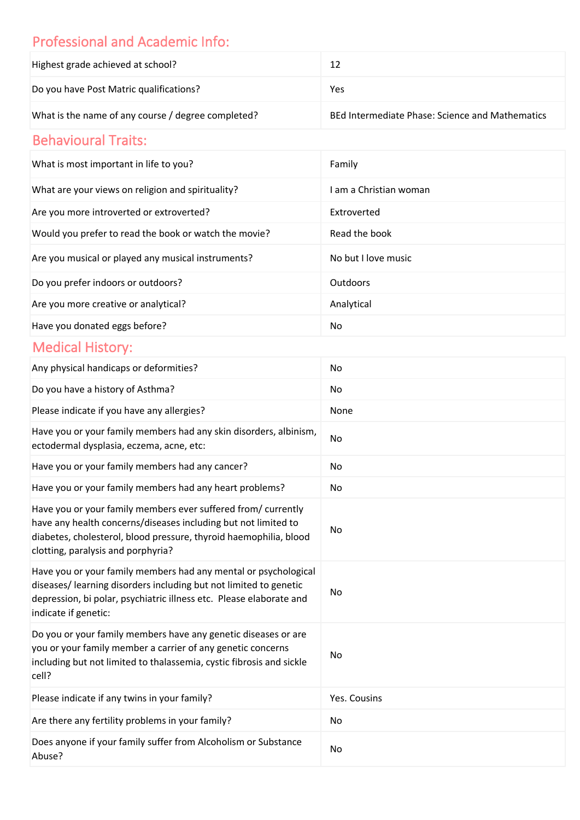## Professional and Academic Info:

| Highest grade achieved at school?                  |                                                 |
|----------------------------------------------------|-------------------------------------------------|
| Do you have Post Matric qualifications?            | Yes                                             |
| What is the name of any course / degree completed? | BEd Intermediate Phase: Science and Mathematics |

# Behavioural Traits:

| What is most important in life to you?                | Family               |
|-------------------------------------------------------|----------------------|
| What are your views on religion and spirituality?     | am a Christian woman |
| Are you more introverted or extroverted?              | Extroverted          |
| Would you prefer to read the book or watch the movie? | Read the book        |
| Are you musical or played any musical instruments?    | No but I love music  |
| Do you prefer indoors or outdoors?                    | Outdoors             |
| Are you more creative or analytical?                  | Analytical           |
| Have you donated eggs before?                         | No                   |

## Medical History:

| Any physical handicaps or deformities?                                                                                                                                                                                                     | No           |
|--------------------------------------------------------------------------------------------------------------------------------------------------------------------------------------------------------------------------------------------|--------------|
| Do you have a history of Asthma?                                                                                                                                                                                                           | No           |
| Please indicate if you have any allergies?                                                                                                                                                                                                 | None         |
| Have you or your family members had any skin disorders, albinism,<br>ectodermal dysplasia, eczema, acne, etc:                                                                                                                              | No           |
| Have you or your family members had any cancer?                                                                                                                                                                                            | No           |
| Have you or your family members had any heart problems?                                                                                                                                                                                    | No           |
| Have you or your family members ever suffered from/ currently<br>have any health concerns/diseases including but not limited to<br>diabetes, cholesterol, blood pressure, thyroid haemophilia, blood<br>clotting, paralysis and porphyria? | No           |
| Have you or your family members had any mental or psychological<br>diseases/ learning disorders including but not limited to genetic<br>depression, bi polar, psychiatric illness etc. Please elaborate and<br>indicate if genetic:        | No           |
| Do you or your family members have any genetic diseases or are<br>you or your family member a carrier of any genetic concerns<br>including but not limited to thalassemia, cystic fibrosis and sickle<br>cell?                             | No           |
| Please indicate if any twins in your family?                                                                                                                                                                                               | Yes. Cousins |
| Are there any fertility problems in your family?                                                                                                                                                                                           | No           |
| Does anyone if your family suffer from Alcoholism or Substance<br>Abuse?                                                                                                                                                                   | No           |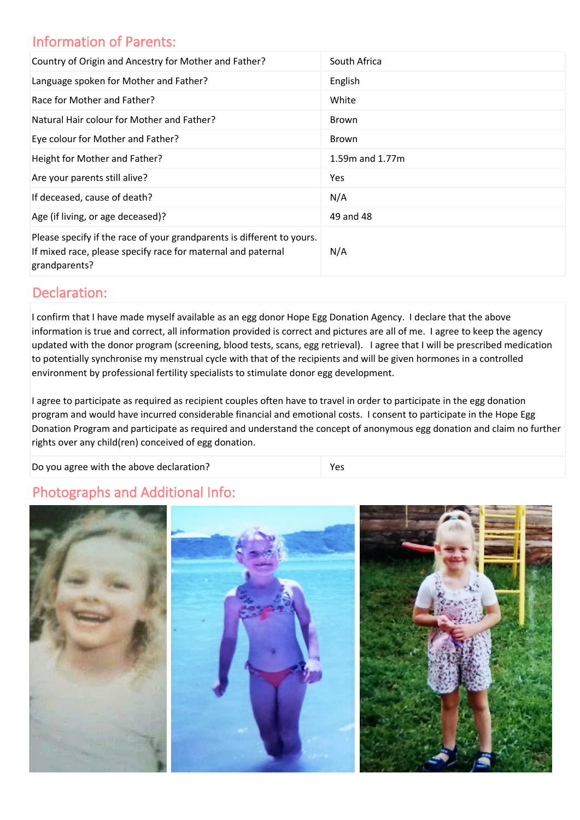#### Information of Parents:

| Country of Origin and Ancestry for Mother and Father?                                                                                                   | South Africa        |
|---------------------------------------------------------------------------------------------------------------------------------------------------------|---------------------|
| Language spoken for Mother and Father?                                                                                                                  | English             |
| Race for Mother and Father?                                                                                                                             | White               |
| Natural Hair colour for Mother and Father?                                                                                                              | <b>Brown</b>        |
| Eye colour for Mother and Father?                                                                                                                       | <b>Brown</b>        |
| Height for Mother and Father?                                                                                                                           | $1.59m$ and $1.77m$ |
| Are your parents still alive?                                                                                                                           | Yes                 |
| If deceased, cause of death?                                                                                                                            | N/A                 |
| Age (if living, or age deceased)?                                                                                                                       | 49 and 48           |
| Please specify if the race of your grandparents is different to yours.<br>If mixed race, please specify race for maternal and paternal<br>grandparents? | N/A                 |

#### Declaration:

I confirm that I have made myself available as an egg donor Hope Egg Donation Agency. I declare that the above information is true and correct, all information provided is correct and pictures are all of me. I agree to keep the agency updated with the donor program (screening, blood tests, scans, egg retrieval). I agree that I will be prescribed medication to potentially synchronise my menstrual cycle with that of the recipients and will be given hormones in a controlled environment by professional fertility specialists to stimulate donor egg development.

I agree to participate as required as recipient couples often have to travel in order to participate in the egg donation program and would have incurred considerable financial and emotional costs. I consent to participate in the Hope Egg Donation Program and participate as required and understand the concept of anonymous egg donation and claim no further rights over any child(ren) conceived of egg donation.

Do you agree with the above declaration?

### Photographs and Additional Info: